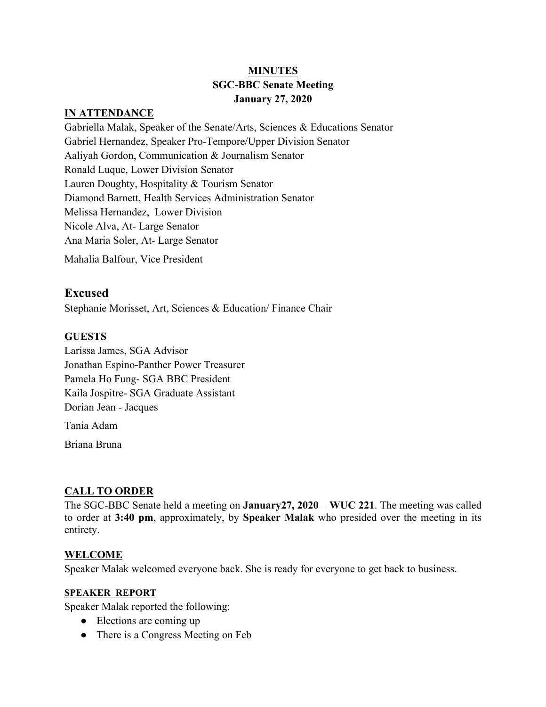# **MINUTES SGC-BBC Senate Meeting January 27, 2020**

#### **IN ATTENDANCE**

Gabriella Malak, Speaker of the Senate/Arts, Sciences & Educations Senator Gabriel Hernandez, Speaker Pro-Tempore/Upper Division Senator Aaliyah Gordon, Communication & Journalism Senator Ronald Luque, Lower Division Senator Lauren Doughty, Hospitality & Tourism Senator Diamond Barnett, Health Services Administration Senator Melissa Hernandez, Lower Division Nicole Alva, At- Large Senator Ana Maria Soler, At- Large Senator Mahalia Balfour, Vice President

# **Excused**

Stephanie Morisset, Art, Sciences & Education/ Finance Chair

# **GUESTS**

Larissa James, SGA Advisor Jonathan Espino-Panther Power Treasurer Pamela Ho Fung- SGA BBC President Kaila Jospitre- SGA Graduate Assistant Dorian Jean - Jacques

Tania Adam

Briana Bruna

# **CALL TO ORDER**

The SGC-BBC Senate held a meeting on **January27, 2020** – **WUC 221**. The meeting was called to order at **3:40 pm**, approximately, by **Speaker Malak** who presided over the meeting in its entirety.

# **WELCOME**

Speaker Malak welcomed everyone back. She is ready for everyone to get back to business.

# **SPEAKER REPORT**

Speaker Malak reported the following:

- Elections are coming up
- There is a Congress Meeting on Feb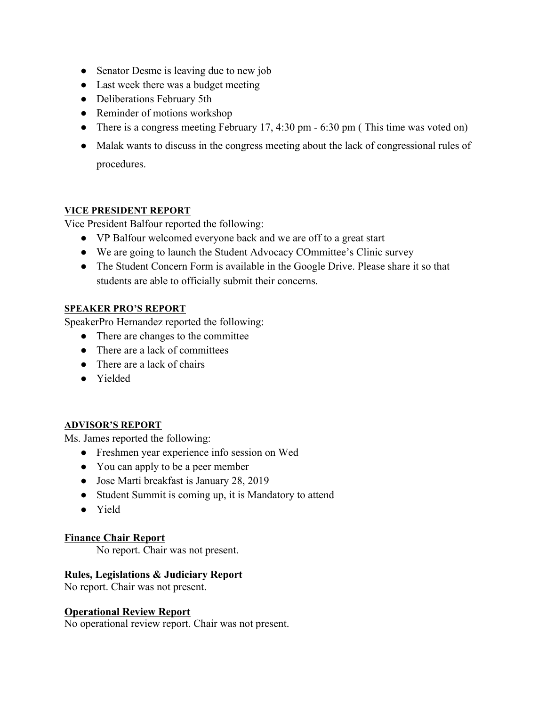- Senator Desme is leaving due to new job
- Last week there was a budget meeting
- Deliberations February 5th
- Reminder of motions workshop
- There is a congress meeting February 17, 4:30 pm 6:30 pm (This time was voted on)
- Malak wants to discuss in the congress meeting about the lack of congressional rules of procedures.

# **VICE PRESIDENT REPORT**

Vice President Balfour reported the following:

- VP Balfour welcomed everyone back and we are off to a great start
- We are going to launch the Student Advocacy COmmittee's Clinic survey
- The Student Concern Form is available in the Google Drive. Please share it so that students are able to officially submit their concerns.

#### **SPEAKER PRO'S REPORT**

SpeakerPro Hernandez reported the following:

- There are changes to the committee
- There are a lack of committees
- $\bullet$  There are a lack of chairs
- Yielded

# **ADVISOR'S REPORT**

Ms. James reported the following:

- Freshmen year experience info session on Wed
- You can apply to be a peer member
- Jose Marti breakfast is January 28, 2019
- Student Summit is coming up, it is Mandatory to attend
- Yield

# **Finance Chair Report**

No report. Chair was not present.

# **Rules, Legislations & Judiciary Report**

No report. Chair was not present.

# **Operational Review Report**

No operational review report. Chair was not present.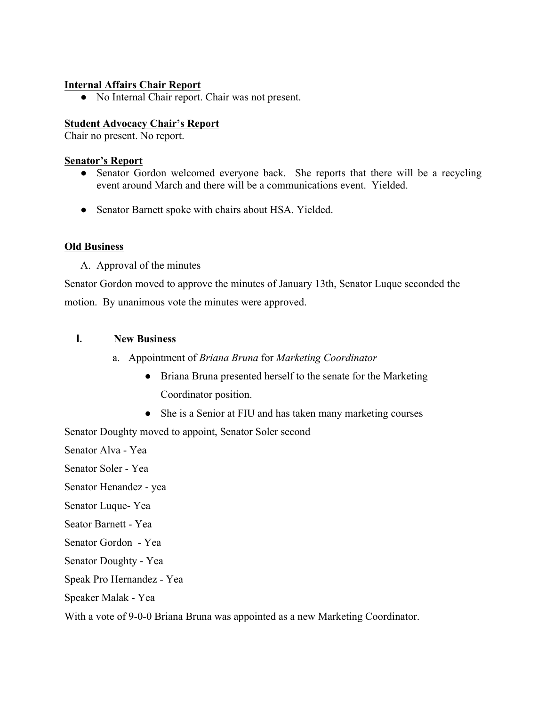#### **Internal Affairs Chair Report**

• No Internal Chair report. Chair was not present.

#### **Student Advocacy Chair's Report**

Chair no present. No report.

#### **Senator's Report**

- Senator Gordon welcomed everyone back. She reports that there will be a recycling event around March and there will be a communications event. Yielded.
- Senator Barnett spoke with chairs about HSA. Yielded.

#### **Old Business**

A. Approval of the minutes

Senator Gordon moved to approve the minutes of January 13th, Senator Luque seconded the motion. By unanimous vote the minutes were approved.

# **I. New Business**

- a. Appointment of *Briana Bruna* for *Marketing Coordinator* 
	- Briana Bruna presented herself to the senate for the Marketing Coordinator position.
	- She is a Senior at FIU and has taken many marketing courses

Senator Doughty moved to appoint, Senator Soler second

Senator Alva - Yea

Senator Soler - Yea

Senator Henandez - yea

Senator Luque- Yea

- Seator Barnett Yea
- Senator Gordon Yea

Senator Doughty - Yea

Speak Pro Hernandez - Yea

Speaker Malak - Yea

With a vote of 9-0-0 Briana Bruna was appointed as a new Marketing Coordinator.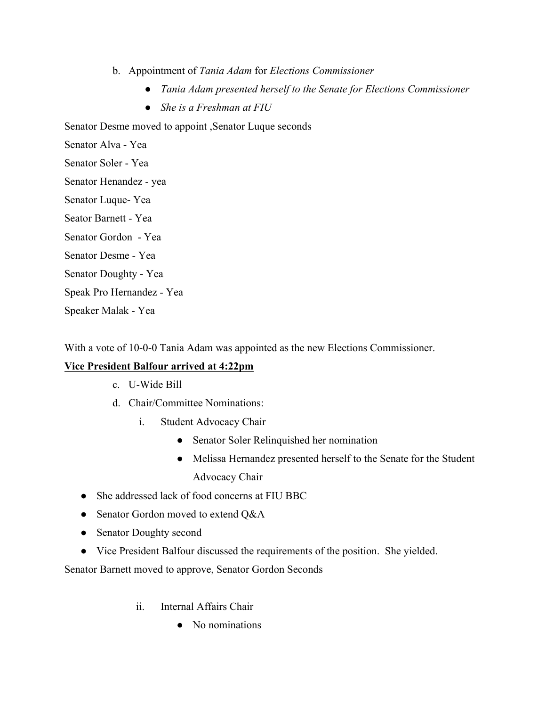- b. Appointment of *Tania Adam* for *Elections Commissioner*
	- *Tania Adam presented herself to the Senate for Elections Commissioner*
	- *She is a Freshman at FIU*

Senator Desme moved to appoint ,Senator Luque seconds

Senator Alva - Yea

Senator Soler - Yea

Senator Henandez - yea

Senator Luque- Yea

Seator Barnett - Yea

Senator Gordon - Yea

Senator Desme - Yea

Senator Doughty - Yea

Speak Pro Hernandez - Yea

Speaker Malak - Yea

With a vote of 10-0-0 Tania Adam was appointed as the new Elections Commissioner.

# **Vice President Balfour arrived at 4:22pm**

- c. U-Wide Bill
- d. Chair/Committee Nominations:
	- i. Student Advocacy Chair
		- Senator Soler Relinquished her nomination
		- Melissa Hernandez presented herself to the Senate for the Student Advocacy Chair
- She addressed lack of food concerns at FIU BBC
- Senator Gordon moved to extend Q&A
- Senator Doughty second
- Vice President Balfour discussed the requirements of the position. She yielded.

Senator Barnett moved to approve, Senator Gordon Seconds

- ii. Internal Affairs Chair
	- No nominations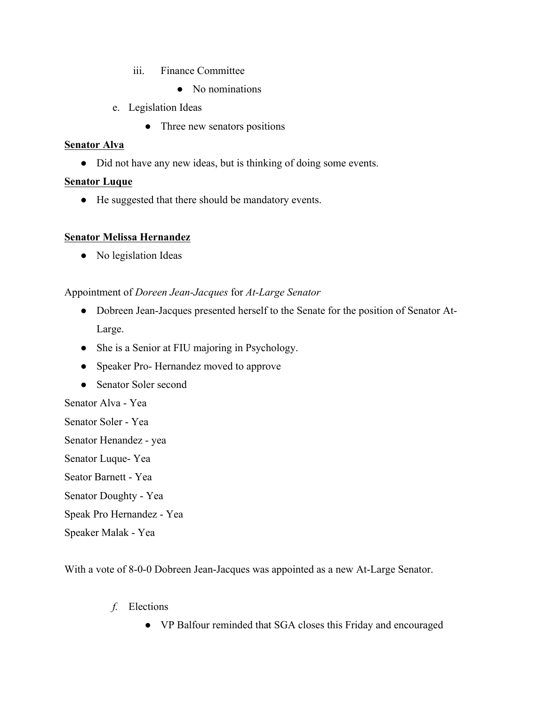- iii. Finance Committee
	- No nominations
- e. Legislation Ideas
	- Three new senators positions

# **Senator Alva**

• Did not have any new ideas, but is thinking of doing some events.

# **Senator Luque**

● He suggested that there should be mandatory events.

# **Senator Melissa Hernandez**

• No legislation Ideas

# Appointment of *Doreen Jean-Jacques* for *At-Large Senator*

- Dobreen Jean-Jacques presented herself to the Senate for the position of Senator At-Large.
- She is a Senior at FIU majoring in Psychology.
- Speaker Pro- Hernandez moved to approve
- Senator Soler second

# Senator Alva - Yea

- Senator Soler Yea
- Senator Henandez yea
- Senator Luque- Yea
- Seator Barnett Yea
- Senator Doughty Yea
- Speak Pro Hernandez Yea
- Speaker Malak Yea

With a vote of 8-0-0 Dobreen Jean-Jacques was appointed as a new At-Large Senator.

- *f.* Elections
	- VP Balfour reminded that SGA closes this Friday and encouraged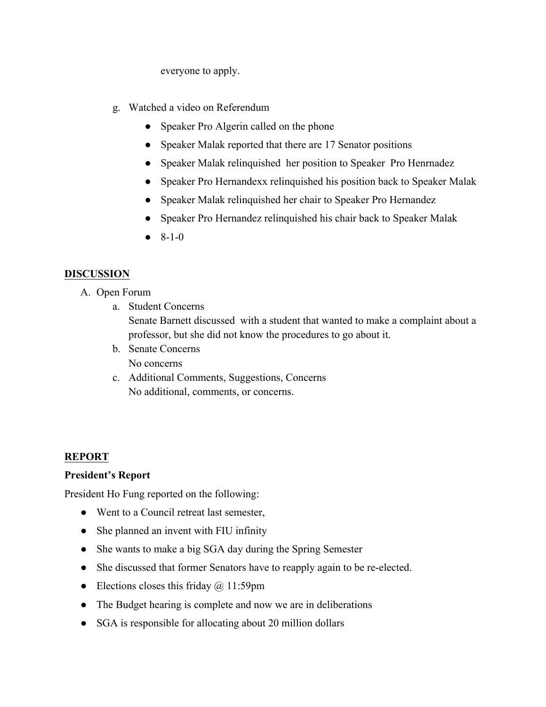everyone to apply.

- g. Watched a video on Referendum
	- Speaker Pro Algerin called on the phone
	- Speaker Malak reported that there are 17 Senator positions
	- Speaker Malak relinquished her position to Speaker Pro Henrnadez
	- Speaker Pro Hernandexx relinquished his position back to Speaker Malak
	- Speaker Malak relinquished her chair to Speaker Pro Hernandez
	- Speaker Pro Hernandez relinquished his chair back to Speaker Malak
	- $\bullet$  8-1-0

# **DISCUSSION**

- A. Open Forum
	- a. Student Concerns

Senate Barnett discussed with a student that wanted to make a complaint about a professor, but she did not know the procedures to go about it.

- b. Senate Concerns No concerns
- c. Additional Comments, Suggestions, Concerns No additional, comments, or concerns.

# **REPORT**

# **President's Report**

President Ho Fung reported on the following:

- Went to a Council retreat last semester,
- She planned an invent with FIU infinity
- She wants to make a big SGA day during the Spring Semester
- She discussed that former Senators have to reapply again to be re-elected.
- Elections closes this friday  $\omega$  11:59pm
- The Budget hearing is complete and now we are in deliberations
- SGA is responsible for allocating about 20 million dollars